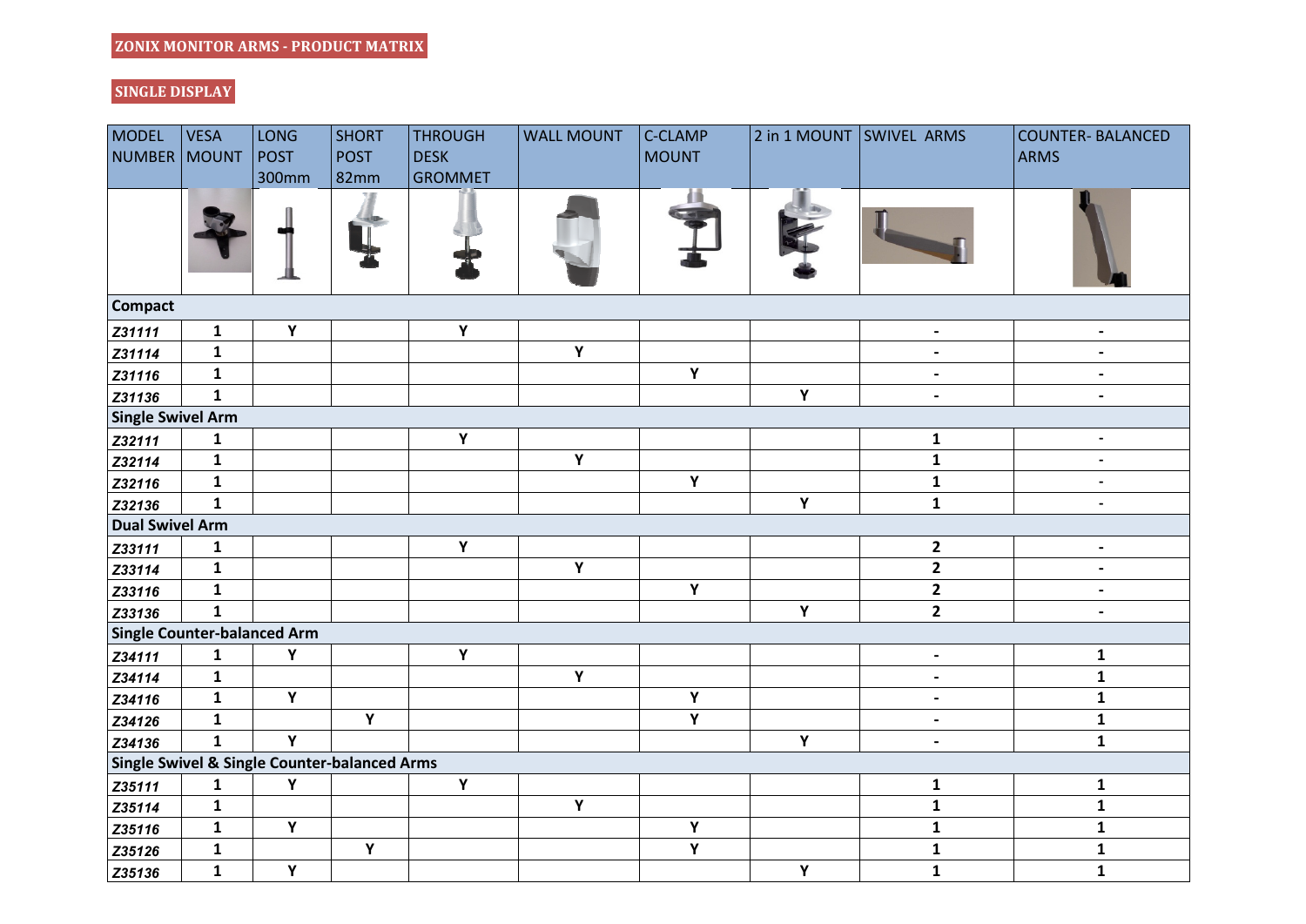## **SINGLE DISPLAY**

| <b>MODEL</b>                                            | <b>VESA</b>  | LONG           | <b>SHORT</b> | <b>THROUGH</b> | <b>WALL MOUNT</b> | C-CLAMP            |   | 2 in 1 MOUNT SWIVEL ARMS | <b>COUNTER- BALANCED</b> |  |  |
|---------------------------------------------------------|--------------|----------------|--------------|----------------|-------------------|--------------------|---|--------------------------|--------------------------|--|--|
| <b>NUMBER</b>                                           | <b>MOUNT</b> | <b>POST</b>    | <b>POST</b>  | <b>DESK</b>    |                   | <b>MOUNT</b>       |   |                          | <b>ARMS</b>              |  |  |
|                                                         |              | 300mm          | 82mm         | <b>GROMMET</b> |                   |                    |   |                          |                          |  |  |
|                                                         |              |                |              |                |                   |                    |   |                          |                          |  |  |
| <b>Compact</b>                                          |              |                |              |                |                   |                    |   |                          |                          |  |  |
| Z31111                                                  | $\mathbf{1}$ | Y              |              | $\mathbf Y$    |                   |                    |   | $\blacksquare$           | $\overline{\phantom{a}}$ |  |  |
| Z31114                                                  | $\mathbf{1}$ |                |              |                | Y                 |                    |   | $\overline{\phantom{a}}$ | $\overline{\phantom{a}}$ |  |  |
| Z31116                                                  | $\mathbf{1}$ |                |              |                |                   | Y                  |   | $\overline{\phantom{a}}$ | $\overline{\phantom{a}}$ |  |  |
| Z31136                                                  | $\mathbf{1}$ |                |              |                |                   |                    | Y | $\overline{\phantom{a}}$ | $\overline{\phantom{a}}$ |  |  |
| <b>Single Swivel Arm</b>                                |              |                |              |                |                   |                    |   |                          |                          |  |  |
| Z32111                                                  | $\mathbf{1}$ |                |              | $\mathbf Y$    |                   |                    |   | $\mathbf 1$              | $\blacksquare$           |  |  |
| Z32114                                                  | ${\bf 1}$    |                |              |                | $\mathbf Y$       |                    |   | $\mathbf 1$              | $\overline{\phantom{a}}$ |  |  |
| Z32116                                                  | ${\bf 1}$    |                |              |                |                   | $\mathbf Y$        |   | $\mathbf 1$              | $\overline{\phantom{a}}$ |  |  |
| Z32136                                                  | $\mathbf{1}$ |                |              |                |                   |                    | Υ | $\mathbf{1}$             | $\overline{\phantom{a}}$ |  |  |
| <b>Dual Swivel Arm</b>                                  |              |                |              |                |                   |                    |   |                          |                          |  |  |
| Z33111                                                  | $\mathbf{1}$ |                |              | $\mathbf Y$    |                   |                    |   | $\overline{2}$           | $\overline{\phantom{a}}$ |  |  |
| Z33114                                                  | $\mathbf{1}$ |                |              |                | Y                 |                    |   | $\overline{2}$           | $\overline{\phantom{a}}$ |  |  |
| Z33116                                                  | $\mathbf{1}$ |                |              |                |                   | $\mathbf Y$        |   | $\overline{2}$           | $\overline{\phantom{a}}$ |  |  |
| Z33136                                                  | $\mathbf{1}$ |                |              |                |                   |                    | Υ | $\overline{2}$           | $\overline{\phantom{a}}$ |  |  |
| Single Counter-balanced Arm                             |              |                |              |                |                   |                    |   |                          |                          |  |  |
| Z34111                                                  | $\mathbf{1}$ | Υ              |              | $\mathbf Y$    |                   |                    |   | $\overline{\phantom{a}}$ | $\mathbf{1}$             |  |  |
| Z34114                                                  | $\mathbf{1}$ |                |              |                | $\mathbf Y$       |                    |   | $\overline{\phantom{a}}$ | $\mathbf{1}$             |  |  |
| Z34116                                                  | $\mathbf{1}$ | $\mathbf Y$    |              |                |                   | $\mathbf Y$        |   | $\overline{\phantom{a}}$ | $\mathbf{1}$             |  |  |
| Z34126                                                  | $\mathbf{1}$ |                | Υ            |                |                   | Y                  |   | $\overline{\phantom{a}}$ | ${\bf 1}$                |  |  |
| Z34136                                                  | $\mathbf{1}$ | Y              |              |                |                   |                    | Υ | $\overline{\phantom{a}}$ | $\mathbf{1}$             |  |  |
| <b>Single Swivel &amp; Single Counter-balanced Arms</b> |              |                |              |                |                   |                    |   |                          |                          |  |  |
| Z35111                                                  | $\mathbf{1}$ | Y              |              | Y              |                   |                    |   | $\mathbf 1$              | ${\bf 1}$                |  |  |
| Z35114                                                  | ${\bf 1}$    |                |              |                | $\mathbf Y$       |                    |   | $\mathbf 1$              | $\mathbf 1$              |  |  |
| Z35116                                                  | $\mathbf{1}$ | $\mathbf Y$    |              |                |                   | Υ                  |   | $\mathbf{1}$             | $\mathbf{1}$             |  |  |
| Z35126                                                  | $\mathbf{1}$ |                | Υ            |                |                   | $\pmb{\mathsf{Y}}$ |   | $\mathbf{1}$             | $\mathbf{1}$             |  |  |
| Z35136                                                  | $\mathbf{1}$ | $\overline{Y}$ |              |                |                   |                    | Υ | $\mathbf{1}$             | $\mathbf{1}$             |  |  |